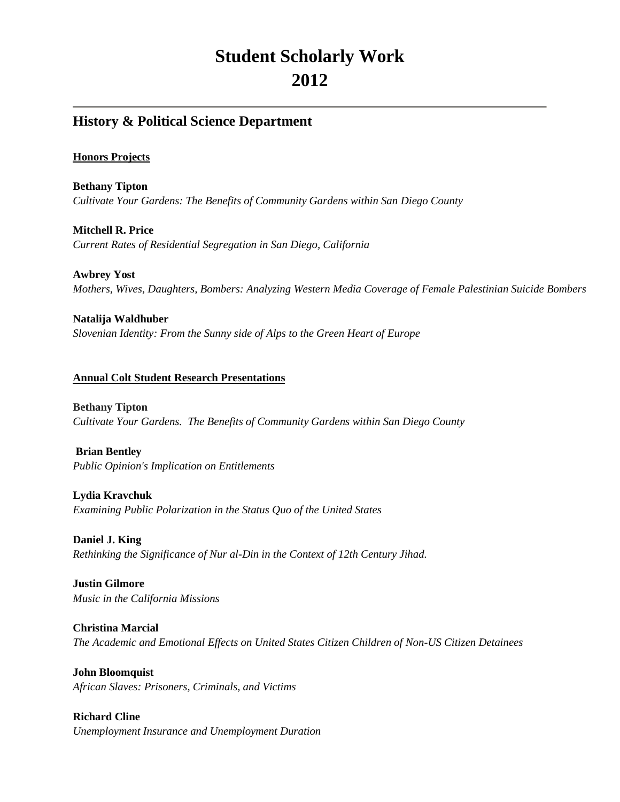# **Student Scholarly Work 2012**

## **History & Political Science Department**

#### **Honors Projects**

**Bethany Tipton** *Cultivate Your Gardens: The Benefits of Community Gardens within San Diego County*

**Mitchell R. Price** *Current Rates of Residential Segregation in San Diego, California*

**Awbrey Yost** *Mothers, Wives, Daughters, Bombers: Analyzing Western Media Coverage of Female Palestinian Suicide Bombers*

**Natalija Waldhuber** *Slovenian Identity: From the Sunny side of Alps to the Green Heart of Europe*

#### **Annual Colt Student Research Presentations**

**Bethany Tipton** *Cultivate Your Gardens. The Benefits of Community Gardens within San Diego County*

**Brian Bentley**  *Public Opinion's Implication on Entitlements*

**Lydia Kravchuk**  *Examining Public Polarization in the Status Quo of the United States*

**Daniel J. King** *Rethinking the Significance of Nur al-Din in the Context of 12th Century Jihad.*

**Justin Gilmore** *Music in the California Missions*

**Christina Marcial** *The Academic and Emotional Effects on United States Citizen Children of Non-US Citizen Detainees*

**John Bloomquist** *African Slaves: Prisoners, Criminals, and Victims*

**Richard Cline** *Unemployment Insurance and Unemployment Duration*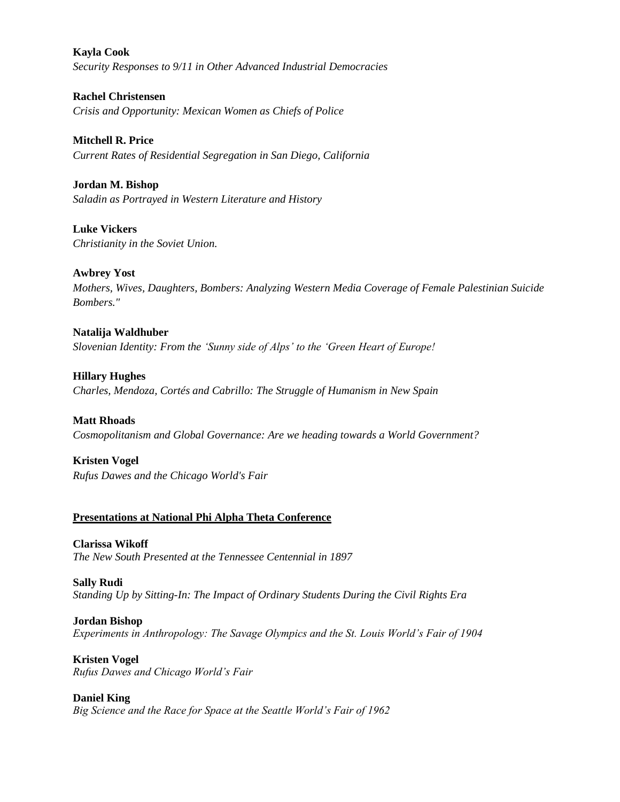**Kayla Cook** *Security Responses to 9/11 in Other Advanced Industrial Democracies* 

**Rachel Christensen** *Crisis and Opportunity: Mexican Women as Chiefs of Police*

**Mitchell R. Price** *Current Rates of Residential Segregation in San Diego, California*

**Jordan M. Bishop** *Saladin as Portrayed in Western Literature and History*

**Luke Vickers** *Christianity in the Soviet Union.*

**Awbrey Yost** *Mothers, Wives, Daughters, Bombers: Analyzing Western Media Coverage of Female Palestinian Suicide Bombers."*

**Natalija Waldhuber** *Slovenian Identity: From the 'Sunny side of Alps' to the 'Green Heart of Europe!*

**Hillary Hughes** *Charles, Mendoza, Cortés and Cabrillo: The Struggle of Humanism in New Spain*

**Matt Rhoads** *Cosmopolitanism and Global Governance: Are we heading towards a World Government?*

**Kristen Vogel** *Rufus Dawes and the Chicago World's Fair*

### **Presentations at National Phi Alpha Theta Conference**

**Clarissa Wikoff** *The New South Presented at the Tennessee Centennial in 1897*

**Sally Rudi** *Standing Up by Sitting-In: The Impact of Ordinary Students During the Civil Rights Era*

**Jordan Bishop** *Experiments in Anthropology: The Savage Olympics and the St. Louis World's Fair of 1904*

**Kristen Vogel** *Rufus Dawes and Chicago World's Fair*

**Daniel King** *Big Science and the Race for Space at the Seattle World's Fair of 1962*